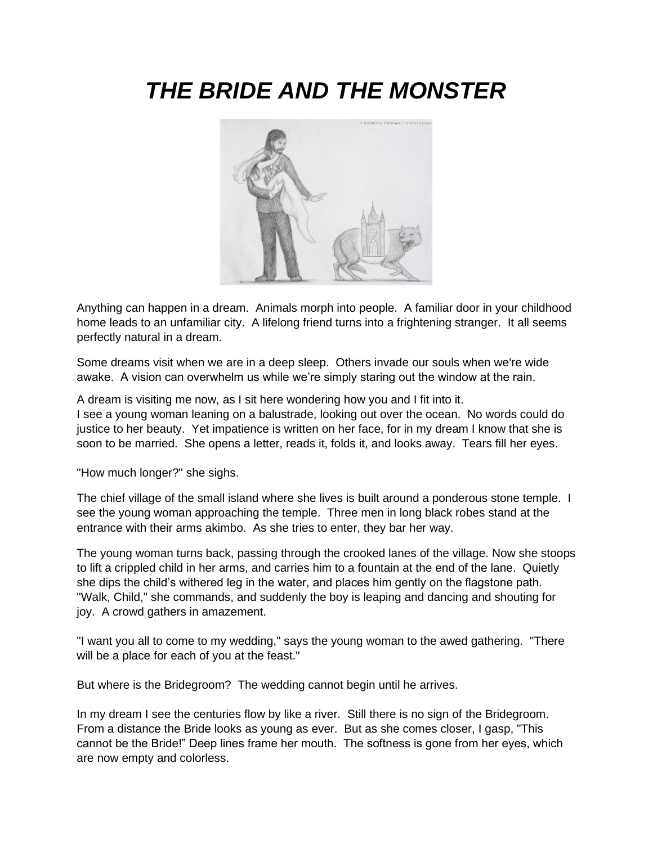# *THE BRIDE AND THE MONSTER*



Anything can happen in a dream. Animals morph into people. A familiar door in your childhood home leads to an unfamiliar city. A lifelong friend turns into a frightening stranger. It all seems perfectly natural in a dream.

Some dreams visit when we are in a deep sleep. Others invade our souls when we're wide awake. A vision can overwhelm us while we're simply staring out the window at the rain.

A dream is visiting me now, as I sit here wondering how you and I fit into it. I see a young woman leaning on a balustrade, looking out over the ocean. No words could do justice to her beauty. Yet impatience is written on her face, for in my dream I know that she is soon to be married. She opens a letter, reads it, folds it, and looks away. Tears fill her eyes.

"How much longer?" she sighs.

The chief village of the small island where she lives is built around a ponderous stone temple. I see the young woman approaching the temple. Three men in long black robes stand at the entrance with their arms akimbo. As she tries to enter, they bar her way.

The young woman turns back, passing through the crooked lanes of the village. Now she stoops to lift a crippled child in her arms, and carries him to a fountain at the end of the lane. Quietly she dips the child's withered leg in the water, and places him gently on the flagstone path. "Walk, Child," she commands, and suddenly the boy is leaping and dancing and shouting for joy. A crowd gathers in amazement.

"I want you all to come to my wedding," says the young woman to the awed gathering. "There will be a place for each of you at the feast."

But where is the Bridegroom? The wedding cannot begin until he arrives.

In my dream I see the centuries flow by like a river. Still there is no sign of the Bridegroom. From a distance the Bride looks as young as ever. But as she comes closer, I gasp, "This cannot be the Bride!" Deep lines frame her mouth. The softness is gone from her eyes, which are now empty and colorless.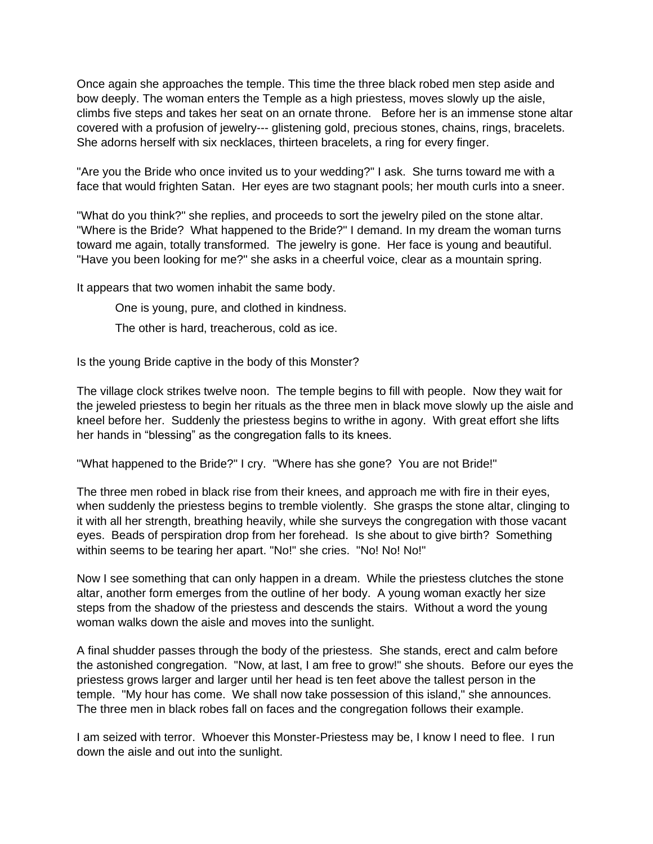Once again she approaches the temple. This time the three black robed men step aside and bow deeply. The woman enters the Temple as a high priestess, moves slowly up the aisle, climbs five steps and takes her seat on an ornate throne. Before her is an immense stone altar covered with a profusion of jewelry--- glistening gold, precious stones, chains, rings, bracelets. She adorns herself with six necklaces, thirteen bracelets, a ring for every finger.

"Are you the Bride who once invited us to your wedding?" I ask. She turns toward me with a face that would frighten Satan. Her eyes are two stagnant pools; her mouth curls into a sneer.

"What do you think?" she replies, and proceeds to sort the jewelry piled on the stone altar. "Where is the Bride? What happened to the Bride?" I demand. In my dream the woman turns toward me again, totally transformed. The jewelry is gone. Her face is young and beautiful. "Have you been looking for me?" she asks in a cheerful voice, clear as a mountain spring.

It appears that two women inhabit the same body.

One is young, pure, and clothed in kindness.

The other is hard, treacherous, cold as ice.

Is the young Bride captive in the body of this Monster?

The village clock strikes twelve noon. The temple begins to fill with people. Now they wait for the jeweled priestess to begin her rituals as the three men in black move slowly up the aisle and kneel before her. Suddenly the priestess begins to writhe in agony. With great effort she lifts her hands in "blessing" as the congregation falls to its knees.

"What happened to the Bride?" I cry. "Where has she gone? You are not Bride!"

The three men robed in black rise from their knees, and approach me with fire in their eyes, when suddenly the priestess begins to tremble violently. She grasps the stone altar, clinging to it with all her strength, breathing heavily, while she surveys the congregation with those vacant eyes. Beads of perspiration drop from her forehead. Is she about to give birth? Something within seems to be tearing her apart. "No!" she cries. "No! No! No!"

Now I see something that can only happen in a dream. While the priestess clutches the stone altar, another form emerges from the outline of her body. A young woman exactly her size steps from the shadow of the priestess and descends the stairs. Without a word the young woman walks down the aisle and moves into the sunlight.

A final shudder passes through the body of the priestess. She stands, erect and calm before the astonished congregation. "Now, at last, I am free to grow!" she shouts. Before our eyes the priestess grows larger and larger until her head is ten feet above the tallest person in the temple. "My hour has come. We shall now take possession of this island," she announces. The three men in black robes fall on faces and the congregation follows their example.

I am seized with terror. Whoever this Monster-Priestess may be, I know I need to flee. I run down the aisle and out into the sunlight.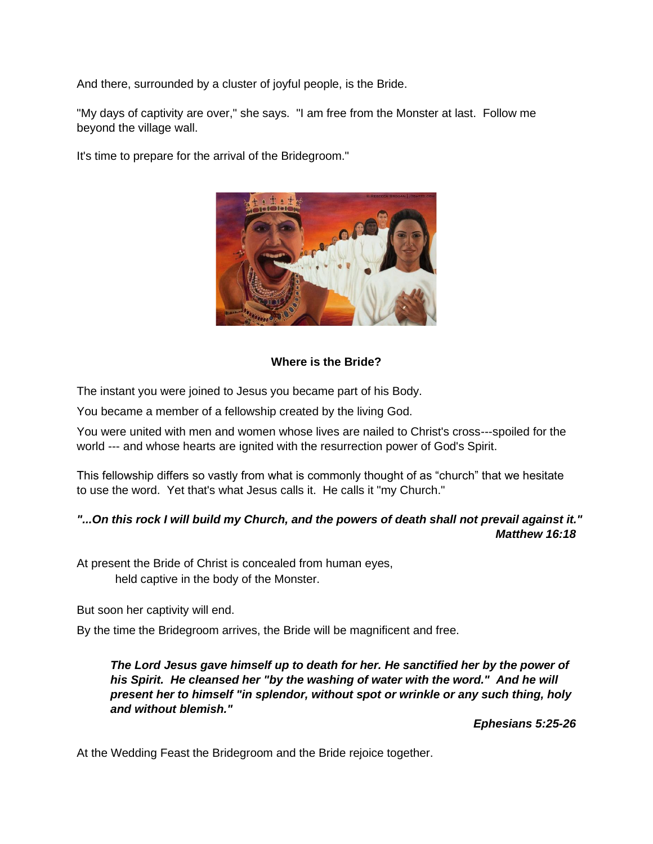And there, surrounded by a cluster of joyful people, is the Bride.

"My days of captivity are over," she says. "I am free from the Monster at last. Follow me beyond the village wall.

It's time to prepare for the arrival of the Bridegroom."



#### **Where is the Bride?**

The instant you were joined to Jesus you became part of his Body.

You became a member of a fellowship created by the living God.

You were united with men and women whose lives are nailed to Christ's cross---spoiled for the world --- and whose hearts are ignited with the resurrection power of God's Spirit.

This fellowship differs so vastly from what is commonly thought of as "church" that we hesitate to use the word. Yet that's what Jesus calls it. He calls it "my Church."

# *"...On this rock I will build my Church, and the powers of death shall not prevail against it." Matthew 16:18*

At present the Bride of Christ is concealed from human eyes, held captive in the body of the Monster.

But soon her captivity will end.

By the time the Bridegroom arrives, the Bride will be magnificent and free.

*The Lord Jesus gave himself up to death for her. He sanctified her by the power of his Spirit. He cleansed her "by the washing of water with the word." And he will present her to himself "in splendor, without spot or wrinkle or any such thing, holy and without blemish."* 

*Ephesians 5:25-26*

At the Wedding Feast the Bridegroom and the Bride rejoice together.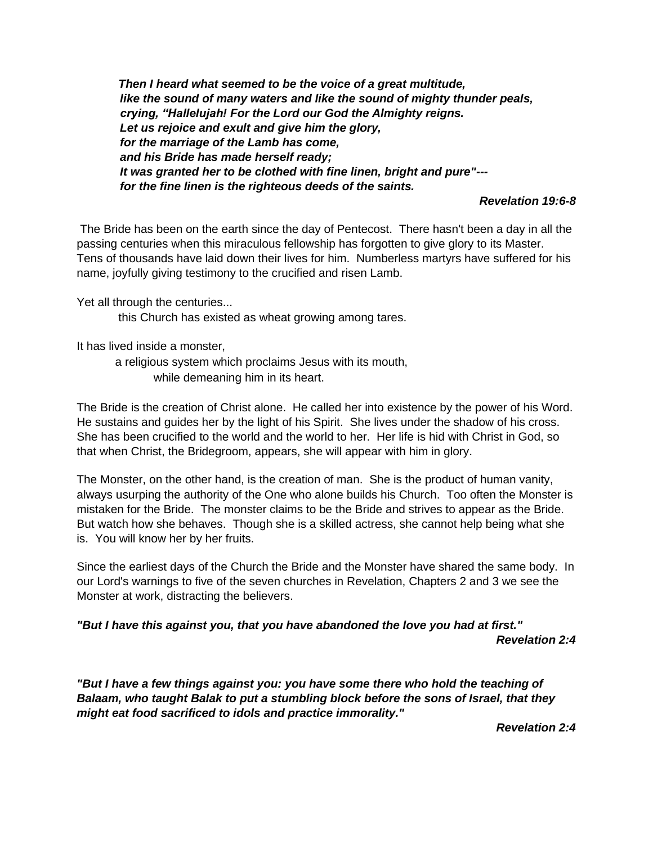*Then I heard what seemed to be the voice of a great multitude, like the sound of many waters and like the sound of mighty thunder peals, crying, "Hallelujah! For the Lord our God the Almighty reigns. Let us rejoice and exult and give him the glory, for the marriage of the Lamb has come, and his Bride has made herself ready; It was granted her to be clothed with fine linen, bright and pure"-- for the fine linen is the righteous deeds of the saints.* 

#### *Revelation 19:6-8*

The Bride has been on the earth since the day of Pentecost. There hasn't been a day in all the passing centuries when this miraculous fellowship has forgotten to give glory to its Master. Tens of thousands have laid down their lives for him. Numberless martyrs have suffered for his name, joyfully giving testimony to the crucified and risen Lamb.

Yet all through the centuries...

this Church has existed as wheat growing among tares.

It has lived inside a monster,

a religious system which proclaims Jesus with its mouth, while demeaning him in its heart.

The Bride is the creation of Christ alone. He called her into existence by the power of his Word. He sustains and guides her by the light of his Spirit. She lives under the shadow of his cross. She has been crucified to the world and the world to her. Her life is hid with Christ in God, so that when Christ, the Bridegroom, appears, she will appear with him in glory.

The Monster, on the other hand, is the creation of man. She is the product of human vanity, always usurping the authority of the One who alone builds his Church. Too often the Monster is mistaken for the Bride. The monster claims to be the Bride and strives to appear as the Bride. But watch how she behaves. Though she is a skilled actress, she cannot help being what she is. You will know her by her fruits.

Since the earliest days of the Church the Bride and the Monster have shared the same body. In our Lord's warnings to five of the seven churches in Revelation, Chapters 2 and 3 we see the Monster at work, distracting the believers.

*"But I have this against you, that you have abandoned the love you had at first."* 

*Revelation 2:4*

"But I have a few things against you: you have some there who hold the teaching of *Balaam, who taught Balak to put a stumbling block before the sons of Israel, that they might eat food sacrificed to idols and practice immorality."*

*Revelation 2:4*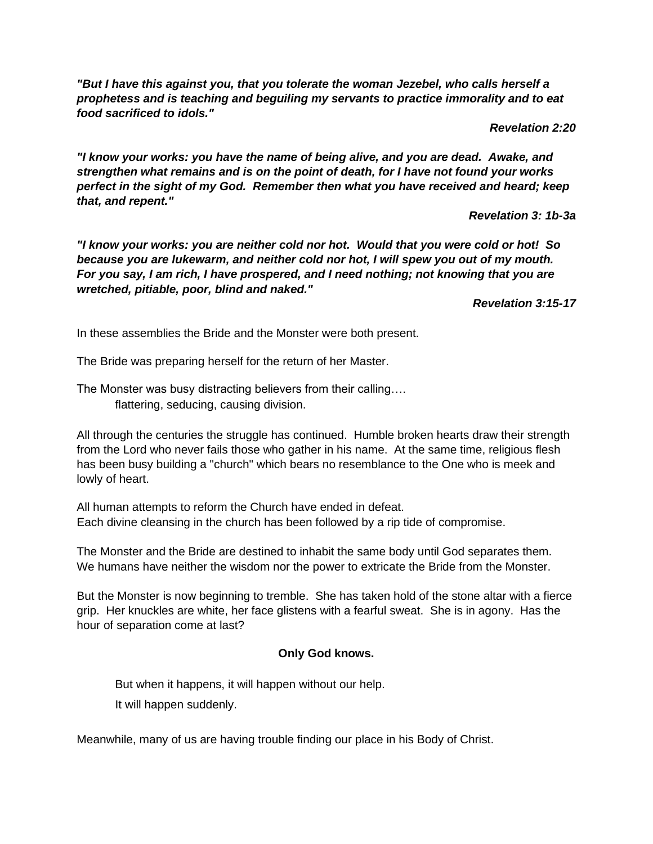*"But I have this against you, that you tolerate the woman Jezebel, who calls herself a prophetess and is teaching and beguiling my servants to practice immorality and to eat food sacrificed to idols."*

*Revelation 2:20*

*"I know your works: you have the name of being alive, and you are dead. Awake, and strengthen what remains and is on the point of death, for I have not found your works perfect in the sight of my God. Remember then what you have received and heard; keep that, and repent."*

*Revelation 3: 1b-3a*

*"I know your works: you are neither cold nor hot. Would that you were cold or hot! So because you are lukewarm, and neither cold nor hot, I will spew you out of my mouth. For you say, I am rich, I have prospered, and I need nothing; not knowing that you are wretched, pitiable, poor, blind and naked."*

*Revelation 3:15-17*

In these assemblies the Bride and the Monster were both present.

The Bride was preparing herself for the return of her Master.

The Monster was busy distracting believers from their calling…. flattering, seducing, causing division.

All through the centuries the struggle has continued. Humble broken hearts draw their strength from the Lord who never fails those who gather in his name. At the same time, religious flesh has been busy building a "church" which bears no resemblance to the One who is meek and lowly of heart.

All human attempts to reform the Church have ended in defeat. Each divine cleansing in the church has been followed by a rip tide of compromise.

The Monster and the Bride are destined to inhabit the same body until God separates them. We humans have neither the wisdom nor the power to extricate the Bride from the Monster.

But the Monster is now beginning to tremble. She has taken hold of the stone altar with a fierce grip. Her knuckles are white, her face glistens with a fearful sweat. She is in agony. Has the hour of separation come at last?

# **Only God knows.**

But when it happens, it will happen without our help. It will happen suddenly.

Meanwhile, many of us are having trouble finding our place in his Body of Christ.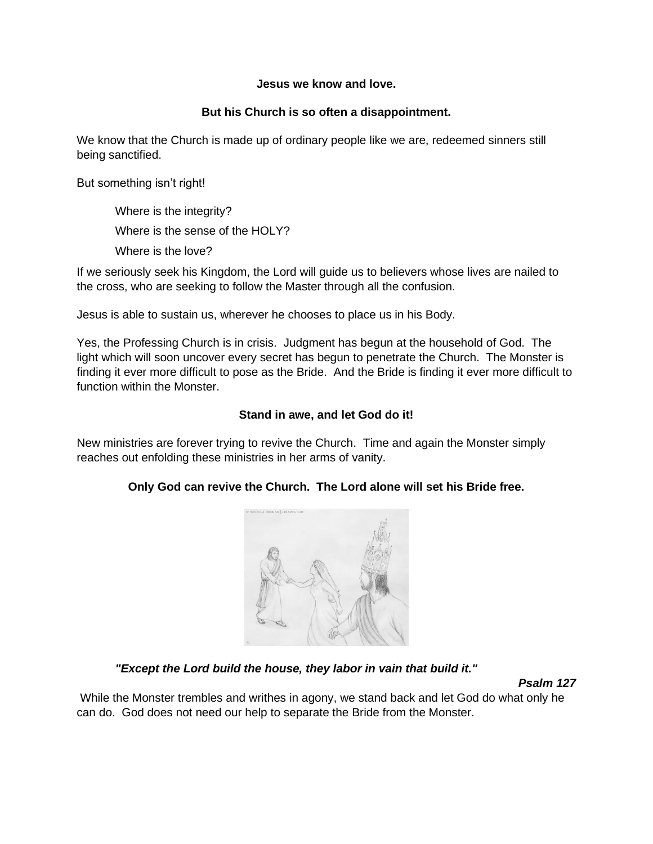#### **Jesus we know and love.**

## **But his Church is so often a disappointment.**

We know that the Church is made up of ordinary people like we are, redeemed sinners still being sanctified.

But something isn't right!

Where is the integrity? Where is the sense of the HOLY? Where is the love?

If we seriously seek his Kingdom, the Lord will guide us to believers whose lives are nailed to the cross, who are seeking to follow the Master through all the confusion.

Jesus is able to sustain us, wherever he chooses to place us in his Body.

Yes, the Professing Church is in crisis. Judgment has begun at the household of God. The light which will soon uncover every secret has begun to penetrate the Church. The Monster is finding it ever more difficult to pose as the Bride. And the Bride is finding it ever more difficult to function within the Monster.

## **Stand in awe, and let God do it!**

New ministries are forever trying to revive the Church. Time and again the Monster simply reaches out enfolding these ministries in her arms of vanity.

# **Only God can revive the Church. The Lord alone will set his Bride free.**



*"Except the Lord build the house, they labor in vain that build it."* 

*Psalm 127*

While the Monster trembles and writhes in agony, we stand back and let God do what only he can do. God does not need our help to separate the Bride from the Monster.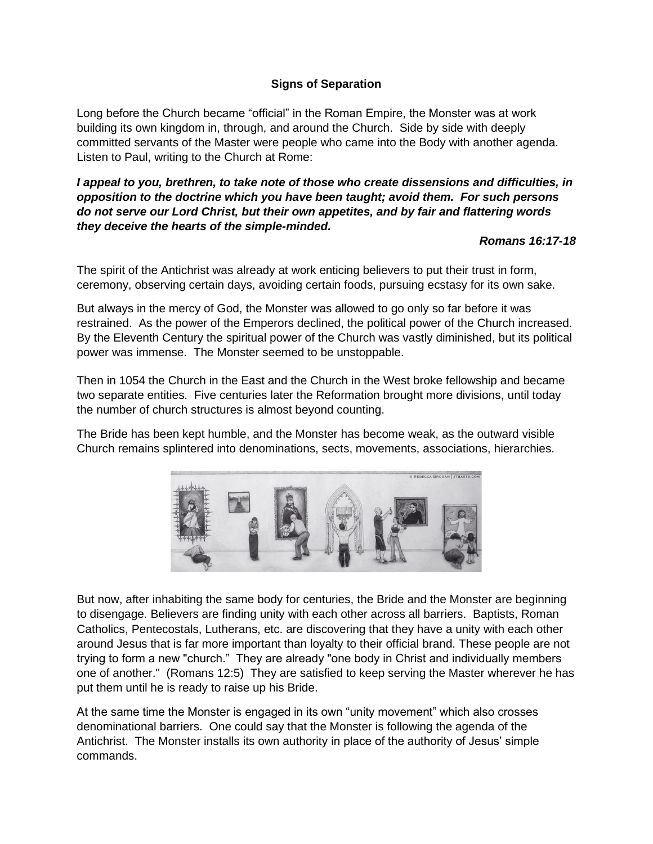## **Signs of Separation**

Long before the Church became "official" in the Roman Empire, the Monster was at work building its own kingdom in, through, and around the Church. Side by side with deeply committed servants of the Master were people who came into the Body with another agenda. Listen to Paul, writing to the Church at Rome:

## *I appeal to you, brethren, to take note of those who create dissensions and difficulties, in opposition to the doctrine which you have been taught; avoid them. For such persons do not serve our Lord Christ, but their own appetites, and by fair and flattering words they deceive the hearts of the simple-minded.*

#### *Romans 16:17-18*

The spirit of the Antichrist was already at work enticing believers to put their trust in form, ceremony, observing certain days, avoiding certain foods, pursuing ecstasy for its own sake.

But always in the mercy of God, the Monster was allowed to go only so far before it was restrained. As the power of the Emperors declined, the political power of the Church increased. By the Eleventh Century the spiritual power of the Church was vastly diminished, but its political power was immense. The Monster seemed to be unstoppable.

Then in 1054 the Church in the East and the Church in the West broke fellowship and became two separate entities. Five centuries later the Reformation brought more divisions, until today the number of church structures is almost beyond counting.

The Bride has been kept humble, and the Monster has become weak, as the outward visible Church remains splintered into denominations, sects, movements, associations, hierarchies.



But now, after inhabiting the same body for centuries, the Bride and the Monster are beginning to disengage. Believers are finding unity with each other across all barriers. Baptists, Roman Catholics, Pentecostals, Lutherans, etc. are discovering that they have a unity with each other around Jesus that is far more important than loyalty to their official brand. These people are not trying to form a new "church." They are already "one body in Christ and individually members one of another." (Romans 12:5) They are satisfied to keep serving the Master wherever he has put them until he is ready to raise up his Bride.

At the same time the Monster is engaged in its own "unity movement" which also crosses denominational barriers. One could say that the Monster is following the agenda of the Antichrist. The Monster installs its own authority in place of the authority of Jesus' simple commands.